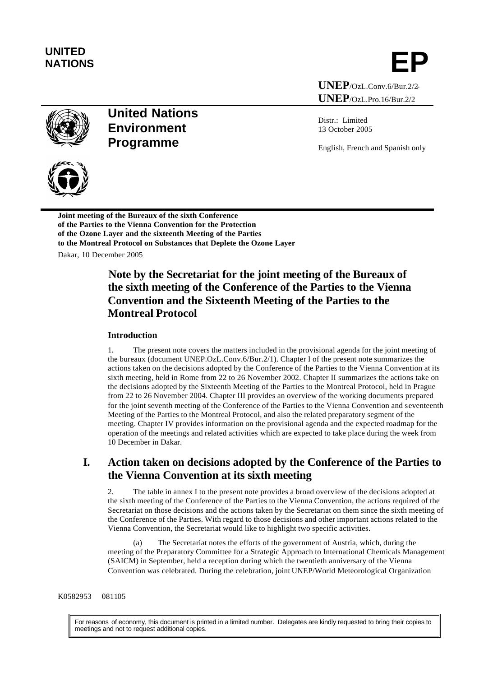# **UNITED**

NATIONS **EP** 

**UNEP**/OzL.Conv.6/Bur.2/2- **UNEP**/OzL.Pro.16/Bur.2/2



# **United Nations Environment Programme**

Distr.: Limited 13 October 2005

English, French and Spanish only



**Joint meeting of the Bureaux of the sixth Conference of the Parties to the Vienna Convention for the Protection of the Ozone Layer and the sixteenth Meeting of the Parties to the Montreal Protocol on Substances that Deplete the Ozone Layer** Dakar, 10 December 2005

# **Note by the Secretariat for the joint meeting of the Bureaux of the sixth meeting of the Conference of the Parties to the Vienna Convention and the Sixteenth Meeting of the Parties to the Montreal Protocol**

#### **Introduction**

1. The present note covers the matters included in the provisional agenda for the joint meeting of the bureaux (document UNEP.OzL.Conv.6/Bur.2/1). Chapter I of the present note summarizes the actions taken on the decisions adopted by the Conference of the Parties to the Vienna Convention at its sixth meeting, held in Rome from 22 to 26 November 2002. Chapter II summarizes the actions take on the decisions adopted by the Sixteenth Meeting of the Parties to the Montreal Protocol, held in Prague from 22 to 26 November 2004. Chapter III provides an overview of the working documents prepared for the joint seventh meeting of the Conference of the Parties to the Vienna Convention and seventeenth Meeting of the Parties to the Montreal Protocol, and also the related preparatory segment of the meeting. Chapter IV provides information on the provisional agenda and the expected roadmap for the operation of the meetings and related activities which are expected to take place during the week from 10 December in Dakar.

# **I. Action taken on decisions adopted by the Conference of the Parties to the Vienna Convention at its sixth meeting**

2. The table in annex I to the present note provides a broad overview of the decisions adopted at the sixth meeting of the Conference of the Parties to the Vienna Convention, the actions required of the Secretariat on those decisions and the actions taken by the Secretariat on them since the sixth meeting of the Conference of the Parties. With regard to those decisions and other important actions related to the Vienna Convention, the Secretariat would like to highlight two specific activities.

(a) The Secretariat notes the efforts of the government of Austria, which, during the meeting of the Preparatory Committee for a Strategic Approach to International Chemicals Management (SAICM) in September, held a reception during which the twentieth anniversary of the Vienna Convention was celebrated. During the celebration, joint UNEP/World Meteorological Organization

#### K0582953 081105

For reasons of economy, this document is printed in a limited number. Delegates are kindly requested to bring their copies to meetings and not to request additional copies.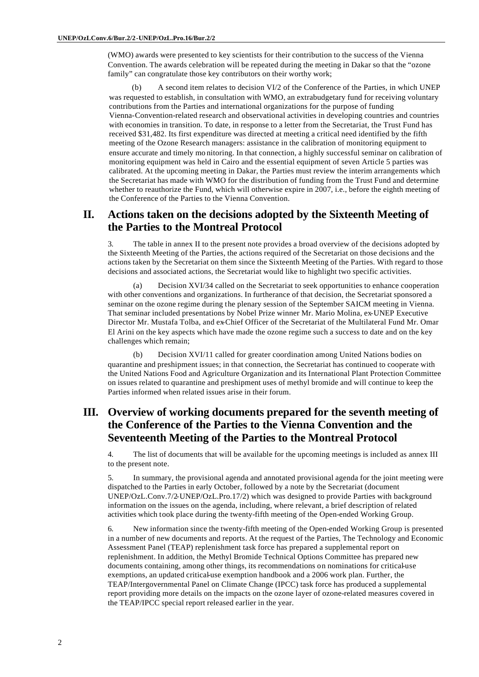(WMO) awards were presented to key scientists for their contribution to the success of the Vienna Convention. The awards celebration will be repeated during the meeting in Dakar so that the "ozone family" can congratulate those key contributors on their worthy work;

A second item relates to decision VI/2 of the Conference of the Parties, in which UNEP was requested to establish, in consultation with WMO, an extrabudgetary fund for receiving voluntary contributions from the Parties and international organizations for the purpose of funding Vienna-Convention-related research and observational activities in developing countries and countries with economies in transition. To date, in response to a letter from the Secretariat, the Trust Fund has received \$31,482. Its first expenditure was directed at meeting a critical need identified by the fifth meeting of the Ozone Research managers: assistance in the calibration of monitoring equipment to ensure accurate and timely mo nitoring. In that connection, a highly successful seminar on calibration of monitoring equipment was held in Cairo and the essential equipment of seven Article 5 parties was calibrated. At the upcoming meeting in Dakar, the Parties must review the interim arrangements which the Secretariat has made with WMO for the distribution of funding from the Trust Fund and determine whether to reauthorize the Fund, which will otherwise expire in 2007, i.e., before the eighth meeting of the Conference of the Parties to the Vienna Convention.

## **II. Actions taken on the decisions adopted by the Sixteenth Meeting of the Parties to the Montreal Protocol**

3. The table in annex II to the present note provides a broad overview of the decisions adopted by the Sixteenth Meeting of the Parties, the actions required of the Secretariat on those decisions and the actions taken by the Secretariat on them since the Sixteenth Meeting of the Parties. With regard to those decisions and associated actions, the Secretariat would like to highlight two specific activities.

(a) Decision XVI/34 called on the Secretariat to seek opportunities to enhance cooperation with other conventions and organizations. In furtherance of that decision, the Secretariat sponsored a seminar on the ozone regime during the plenary session of the September SAICM meeting in Vienna. That seminar included presentations by Nobel Prize winner Mr. Mario Molina, ex-UNEP Executive Director Mr. Mustafa Tolba, and ex-Chief Officer of the Secretariat of the Multilateral Fund Mr. Omar El Arini on the key aspects which have made the ozone regime such a success to date and on the key challenges which remain;

(b) Decision XVI/11 called for greater coordination among United Nations bodies on quarantine and preshipment issues; in that connection, the Secretariat has continued to cooperate with the United Nations Food and Agriculture Organization and its International Plant Protection Committee on issues related to quarantine and preshipment uses of methyl bromide and will continue to keep the Parties informed when related issues arise in their forum.

# **III. Overview of working documents prepared for the seventh meeting of the Conference of the Parties to the Vienna Convention and the Seventeenth Meeting of the Parties to the Montreal Protocol**

4. The list of documents that will be available for the upcoming meetings is included as annex III to the present note.

5. In summary, the provisional agenda and annotated provisional agenda for the joint meeting were dispatched to the Parties in early October, followed by a note by the Secretariat (document UNEP/OzL.Conv.7/2-UNEP/OzL.Pro.17/2) which was designed to provide Parties with background information on the issues on the agenda, including, where relevant, a brief description of related activities which took place during the twenty-fifth meeting of the Open-ended Working Group.

6. New information since the twenty-fifth meeting of the Open-ended Working Group is presented in a number of new documents and reports. At the request of the Parties, The Technology and Economic Assessment Panel (TEAP) replenishment task force has prepared a supplemental report on replenishment. In addition, the Methyl Bromide Technical Options Committee has prepared new documents containing, among other things, its recommendations on nominations for critical-use exemptions, an updated critical-use exemption handbook and a 2006 work plan. Further, the TEAP/Intergovernmental Panel on Climate Change (IPCC) task force has produced a supplemental report providing more details on the impacts on the ozone layer of ozone-related measures covered in the TEAP/IPCC special report released earlier in the year.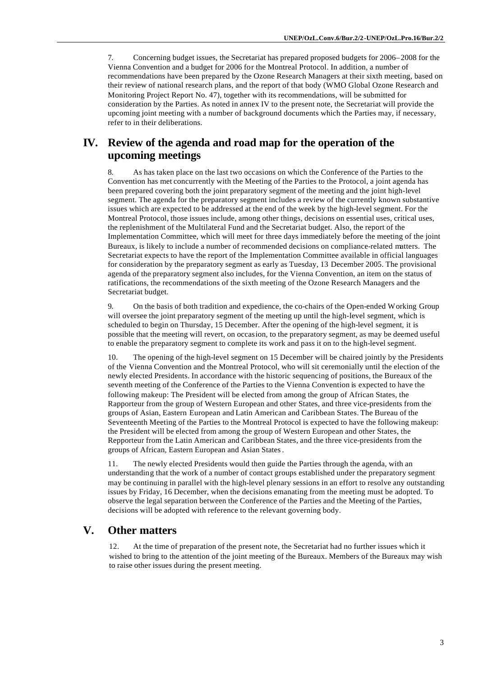7. Concerning budget issues, the Secretariat has prepared proposed budgets for 2006–2008 for the Vienna Convention and a budget for 2006 for the Montreal Protocol. In addition, a number of recommendations have been prepared by the Ozone Research Managers at their sixth meeting, based on their review of national research plans, and the report of that body (WMO Global Ozone Research and Monitoring Project Report No. 47), together with its recommendations, will be submitted for consideration by the Parties. As noted in annex IV to the present note, the Secretariat will provide the upcoming joint meeting with a number of background documents which the Parties may, if necessary, refer to in their deliberations.

# **IV. Review of the agenda and road map for the operation of the upcoming meetings**

8. As has taken place on the last two occasions on which the Conference of the Parties to the Convention has met concurrently with the Meeting of the Parties to the Protocol, a joint agenda has been prepared covering both the joint preparatory segment of the meeting and the joint high-level segment. The agenda for the preparatory segment includes a review of the currently known substantive issues which are expected to be addressed at the end of the week by the high-level segment. For the Montreal Protocol, those issues include, among other things, decisions on essential uses, critical uses, the replenishment of the Multilateral Fund and the Secretariat budget. Also, the report of the Implementation Committee, which will meet for three days immediately before the meeting of the joint Bureaux, is likely to include a number of recommended decisions on compliance-related matters. The Secretariat expects to have the report of the Implementation Committee available in official languages for consideration by the preparatory segment as early as Tuesday, 13 December 2005. The provisional agenda of the preparatory segment also includes, for the Vienna Convention, an item on the status of ratifications, the recommendations of the sixth meeting of the Ozone Research Managers and the Secretariat budget.

9. On the basis of both tradition and expedience, the co-chairs of the Open-ended Working Group will oversee the joint preparatory segment of the meeting up until the high-level segment, which is scheduled to begin on Thursday, 15 December. After the opening of the high-level segment, it is possible that the meeting will revert, on occasion, to the preparatory segment, as may be deemed useful to enable the preparatory segment to complete its work and pass it on to the high-level segment.

10. The opening of the high-level segment on 15 December will be chaired jointly by the Presidents of the Vienna Convention and the Montreal Protocol, who will sit ceremonially until the election of the newly elected Presidents. In accordance with the historic sequencing of positions, the Bureaux of the seventh meeting of the Conference of the Parties to the Vienna Convention is expected to have the following makeup: The President will be elected from among the group of African States, the Rapporteur from the group of Western European and other States, and three vice-presidents from the groups of Asian, Eastern European and Latin American and Caribbean States. The Bureau of the Seventeenth Meeting of the Parties to the Montreal Protocol is expected to have the following makeup: the President will be elected from among the group of Western European and other States, the Repporteur from the Latin American and Caribbean States, and the three vice-presidents from the groups of African, Eastern European and Asian States.

11. The newly elected Presidents would then guide the Parties through the agenda, with an understanding that the work of a number of contact groups established under the preparatory segment may be continuing in parallel with the high-level plenary sessions in an effort to resolve any outstanding issues by Friday, 16 December, when the decisions emanating from the meeting must be adopted. To observe the legal separation between the Conference of the Parties and the Meeting of the Parties, decisions will be adopted with reference to the relevant governing body.

### **V. Other matters**

12. At the time of preparation of the present note, the Secretariat had no further issues which it wished to bring to the attention of the joint meeting of the Bureaux. Members of the Bureaux may wish to raise other issues during the present meeting.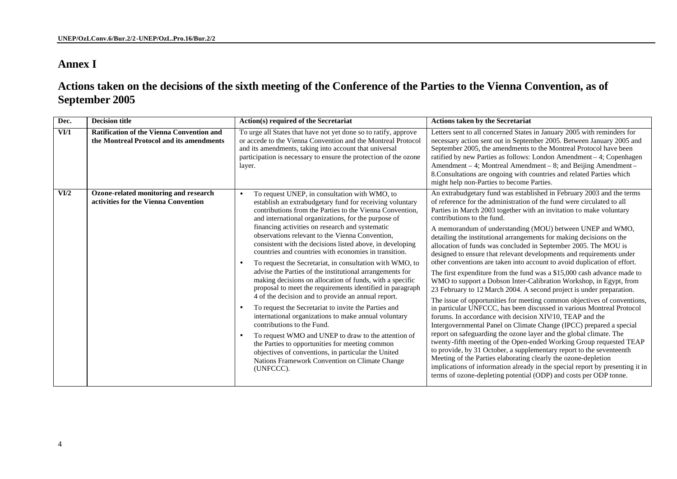# **Annex I**

**Actions taken on the decisions of the sixth meeting of the Conference of the Parties to the Vienna Convention, as of September 2005**

| Dec.                            | <b>Decision title</b>                                                                        | Action(s) required of the Secretariat                                                                                                                                                                                                                                                                                                                                                                                                                                                                                                                                                                                                                                                                                                                                                                                                                                                                                                                                                                                                                                                                                                                      | <b>Actions taken by the Secretariat</b>                                                                                                                                                                                                                                                                                                                                                                                                                                                                                                                                                                                                                                                                                                                                                                                                                                                                                                                                                                                                                                                                                                                                                                                                                                                                                                                                                                                                                                                                                                                                       |
|---------------------------------|----------------------------------------------------------------------------------------------|------------------------------------------------------------------------------------------------------------------------------------------------------------------------------------------------------------------------------------------------------------------------------------------------------------------------------------------------------------------------------------------------------------------------------------------------------------------------------------------------------------------------------------------------------------------------------------------------------------------------------------------------------------------------------------------------------------------------------------------------------------------------------------------------------------------------------------------------------------------------------------------------------------------------------------------------------------------------------------------------------------------------------------------------------------------------------------------------------------------------------------------------------------|-------------------------------------------------------------------------------------------------------------------------------------------------------------------------------------------------------------------------------------------------------------------------------------------------------------------------------------------------------------------------------------------------------------------------------------------------------------------------------------------------------------------------------------------------------------------------------------------------------------------------------------------------------------------------------------------------------------------------------------------------------------------------------------------------------------------------------------------------------------------------------------------------------------------------------------------------------------------------------------------------------------------------------------------------------------------------------------------------------------------------------------------------------------------------------------------------------------------------------------------------------------------------------------------------------------------------------------------------------------------------------------------------------------------------------------------------------------------------------------------------------------------------------------------------------------------------------|
| $\overline{\text{VI}/\text{I}}$ | <b>Ratification of the Vienna Convention and</b><br>the Montreal Protocol and its amendments | To urge all States that have not yet done so to ratify, approve<br>or accede to the Vienna Convention and the Montreal Protocol<br>and its amendments, taking into account that universal<br>participation is necessary to ensure the protection of the ozone<br>layer.                                                                                                                                                                                                                                                                                                                                                                                                                                                                                                                                                                                                                                                                                                                                                                                                                                                                                    | Letters sent to all concerned States in January 2005 with reminders for<br>necessary action sent out in September 2005. Between January 2005 and<br>September 2005, the amendments to the Montreal Protocol have been<br>ratified by new Parties as follows: London Amendment - 4; Copenhagen<br>Amendment - 4; Montreal Amendment - 8; and Beijing Amendment -<br>8. Consultations are ongoing with countries and related Parties which<br>might help non-Parties to become Parties.                                                                                                                                                                                                                                                                                                                                                                                                                                                                                                                                                                                                                                                                                                                                                                                                                                                                                                                                                                                                                                                                                         |
| VI/2                            | Ozone-related monitoring and research<br>activities for the Vienna Convention                | To request UNEP, in consultation with WMO, to<br>$\bullet$<br>establish an extrabudgetary fund for receiving voluntary<br>contributions from the Parties to the Vienna Convention,<br>and international organizations, for the purpose of<br>financing activities on research and systematic<br>observations relevant to the Vienna Convention,<br>consistent with the decisions listed above, in developing<br>countries and countries with economies in transition.<br>To request the Secretariat, in consultation with WMO, to<br>advise the Parties of the institutional arrangements for<br>making decisions on allocation of funds, with a specific<br>proposal to meet the requirements identified in paragraph<br>4 of the decision and to provide an annual report.<br>To request the Secretariat to invite the Parties and<br>international organizations to make annual voluntary<br>contributions to the Fund.<br>To request WMO and UNEP to draw to the attention of<br>the Parties to opportunities for meeting common<br>objectives of conventions, in particular the United<br>Nations Framework Convention on Climate Change<br>(UNFCCC). | An extrabudgetary fund was established in February 2003 and the terms<br>of reference for the administration of the fund were circulated to all<br>Parties in March 2003 together with an invitation to make voluntary<br>contributions to the fund<br>A memorandum of understanding (MOU) between UNEP and WMO,<br>detailing the institutional arrangements for making decisions on the<br>allocation of funds was concluded in September 2005. The MOU is<br>designed to ensure that relevant developments and requirements under<br>other conventions are taken into account to avoid duplication of effort.<br>The first expenditure from the fund was a \$15,000 cash advance made to<br>WMO to support a Dobson Inter-Calibration Workshop, in Egypt, from<br>23 February to 12 March 2004. A second project is under preparation.<br>The issue of opportunities for meeting common objectives of conventions,<br>in particular UNFCCC, has been discussed in various Montreal Protocol<br>forums. In accordance with decision XIV/10, TEAP and the<br>Intergovernmental Panel on Climate Change (IPCC) prepared a special<br>report on safeguarding the ozone layer and the global climate. The<br>twenty-fifth meeting of the Open-ended Working Group requested TEAP<br>to provide, by 31 October, a supplementary report to the seventeenth<br>Meeting of the Parties elaborating clearly the ozone-depletion<br>implications of information already in the special report by presenting it in<br>terms of ozone-depleting potential (ODP) and costs per ODP tonne. |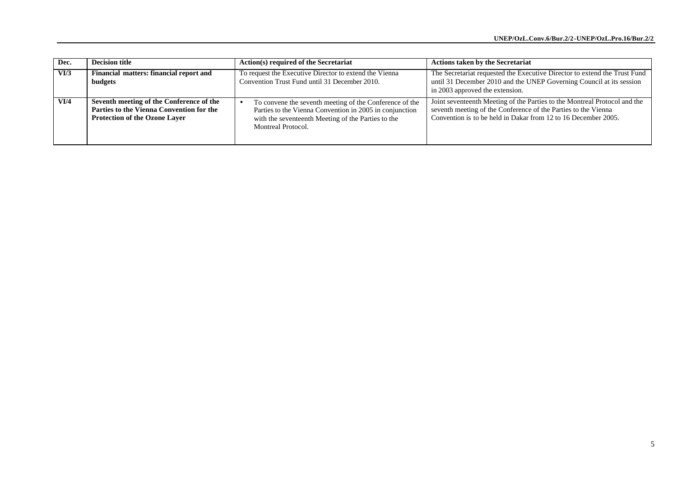| Dec.   | <b>Decision title</b>                                                                                                        | Action(s) required of the Secretariat                                                                                                                                                          | <b>Actions taken by the Secretariat</b>                                                                                                                                                                       |
|--------|------------------------------------------------------------------------------------------------------------------------------|------------------------------------------------------------------------------------------------------------------------------------------------------------------------------------------------|---------------------------------------------------------------------------------------------------------------------------------------------------------------------------------------------------------------|
| $VU$ 3 | Financial matters: financial report and<br>budgets                                                                           | To request the Executive Director to extend the Vienna<br>Convention Trust Fund until 31 December 2010.                                                                                        | The Secretariat requested the Executive Director to extend the Trust Fund<br>until 31 December 2010 and the UNEP Governing Council at its session<br>in 2003 approved the extension.                          |
| VI/4   | Seventh meeting of the Conference of the<br>Parties to the Vienna Convention for the<br><b>Protection of the Ozone Laver</b> | To convene the seventh meeting of the Conference of the<br>Parties to the Vienna Convention in 2005 in conjunction<br>with the seventeenth Meeting of the Parties to the<br>Montreal Protocol. | Joint seventeenth Meeting of the Parties to the Montreal Protocol and the<br>seventh meeting of the Conference of the Parties to the Vienna<br>Convention is to be held in Dakar from 12 to 16 December 2005. |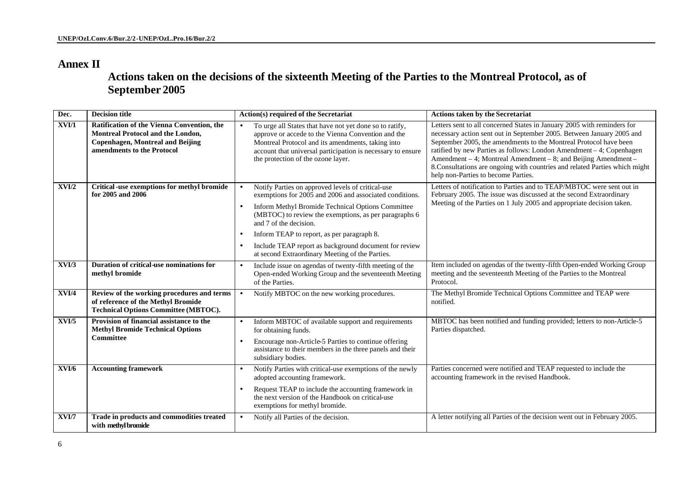# **Annex II**

**Actions taken on the decisions of the sixteenth Meeting of the Parties to the Montreal Protocol, as of September 2005**

| Dec.  | <b>Decision title</b>                                                                                                                                    | Action(s) required of the Secretariat                                                                                                                                                                                                                                                                                                                                                                                                                      | <b>Actions taken by the Secretariat</b>                                                                                                                                                                                                                                                                                                                                                                                                                                               |
|-------|----------------------------------------------------------------------------------------------------------------------------------------------------------|------------------------------------------------------------------------------------------------------------------------------------------------------------------------------------------------------------------------------------------------------------------------------------------------------------------------------------------------------------------------------------------------------------------------------------------------------------|---------------------------------------------------------------------------------------------------------------------------------------------------------------------------------------------------------------------------------------------------------------------------------------------------------------------------------------------------------------------------------------------------------------------------------------------------------------------------------------|
| XVI/1 | Ratification of the Vienna Convention, the<br>Montreal Protocol and the London,<br><b>Copenhagen, Montreal and Beijing</b><br>amendments to the Protocol | To urge all States that have not yet done so to ratify,<br>$\bullet$<br>approve or accede to the Vienna Convention and the<br>Montreal Protocol and its amendments, taking into<br>account that universal participation is necessary to ensure<br>the protection of the ozone layer.                                                                                                                                                                       | Letters sent to all concerned States in January 2005 with reminders for<br>necessary action sent out in September 2005. Between January 2005 and<br>September 2005, the amendments to the Montreal Protocol have been<br>ratified by new Parties as follows: London Amendment - 4; Copenhagen<br>Amendment – 4; Montreal Amendment – 8; and Beijing Amendment –<br>8. Consultations are ongoing with countries and related Parties which might<br>help non-Parties to become Parties. |
| XVI/2 | Critical -use exemptions for methyl bromide<br>for 2005 and 2006                                                                                         | Notify Parties on approved levels of critical-use<br>$\bullet$<br>exemptions for 2005 and 2006 and associated conditions.<br>Inform Methyl Bromide Technical Options Committee<br>$\bullet$<br>(MBTOC) to review the exemptions, as per paragraphs 6<br>and 7 of the decision.<br>Inform TEAP to report, as per paragraph 8.<br>٠<br>Include TEAP report as background document for review<br>$\bullet$<br>at second Extraordinary Meeting of the Parties. | Letters of notification to Parties and to TEAP/MBTOC were sent out in<br>February 2005. The issue was discussed at the second Extraordinary<br>Meeting of the Parties on 1 July 2005 and appropriate decision taken.                                                                                                                                                                                                                                                                  |
| XVI/3 | Duration of critical-use nominations for<br>methyl bromide                                                                                               | Include issue on agendas of twenty-fifth meeting of the<br>$\bullet$<br>Open-ended Working Group and the seventeenth Meeting<br>of the Parties.                                                                                                                                                                                                                                                                                                            | Item included on agendas of the twenty-fifth Open-ended Working Group<br>meeting and the seventeenth Meeting of the Parties to the Montreal<br>Protocol.                                                                                                                                                                                                                                                                                                                              |
| XVI/4 | Review of the working procedures and terms<br>of reference of the Methyl Bromide<br><b>Technical Options Committee (MBTOC).</b>                          | Notify MBTOC on the new working procedures.                                                                                                                                                                                                                                                                                                                                                                                                                | The Methyl Bromide Technical Options Committee and TEAP were<br>notified.                                                                                                                                                                                                                                                                                                                                                                                                             |
| XVI/5 | Provision of financial assistance to the<br><b>Methyl Bromide Technical Options</b><br><b>Committee</b>                                                  | Inform MBTOC of available support and requirements<br>$\bullet$<br>for obtaining funds.<br>Encourage non-Article-5 Parties to continue offering<br>$\bullet$<br>assistance to their members in the three panels and their<br>subsidiary bodies.                                                                                                                                                                                                            | MBTOC has been notified and funding provided; letters to non-Article-5<br>Parties dispatched.                                                                                                                                                                                                                                                                                                                                                                                         |
| XVI/6 | <b>Accounting framework</b>                                                                                                                              | Notify Parties with critical-use exemptions of the newly<br>$\bullet$<br>adopted accounting framework.<br>Request TEAP to include the accounting framework in<br>$\bullet$<br>the next version of the Handbook on critical-use<br>exemptions for methyl bromide.                                                                                                                                                                                           | Parties concerned were notified and TEAP requested to include the<br>accounting framework in the revised Handbook.                                                                                                                                                                                                                                                                                                                                                                    |
| XVI/7 | Trade in products and commodities treated<br>with methyl bromide                                                                                         | Notify all Parties of the decision.                                                                                                                                                                                                                                                                                                                                                                                                                        | A letter notifying all Parties of the decision went out in February 2005.                                                                                                                                                                                                                                                                                                                                                                                                             |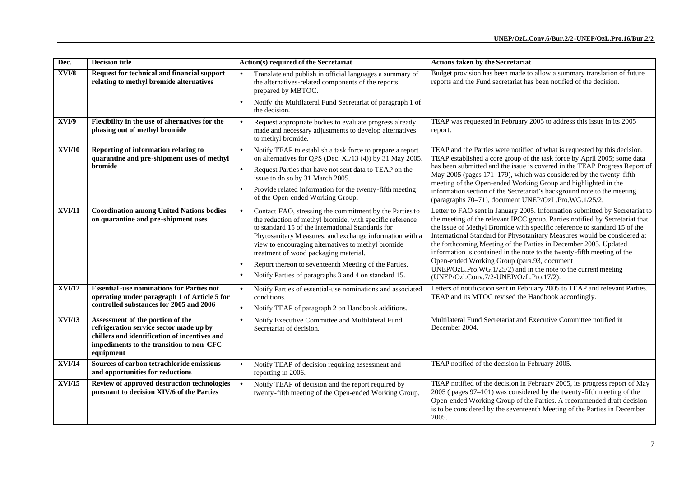| Dec.          | <b>Decision title</b>                                                                                                                                                                 | Action(s) required of the Secretariat                                                                                                                                                                                                                                                                                                                                                                                                                                                       | <b>Actions taken by the Secretariat</b>                                                                                                                                                                                                                                                                                                                                                                                                                                                                                                                                                                                        |
|---------------|---------------------------------------------------------------------------------------------------------------------------------------------------------------------------------------|---------------------------------------------------------------------------------------------------------------------------------------------------------------------------------------------------------------------------------------------------------------------------------------------------------------------------------------------------------------------------------------------------------------------------------------------------------------------------------------------|--------------------------------------------------------------------------------------------------------------------------------------------------------------------------------------------------------------------------------------------------------------------------------------------------------------------------------------------------------------------------------------------------------------------------------------------------------------------------------------------------------------------------------------------------------------------------------------------------------------------------------|
| XVI/8         | Request for technical and financial support<br>relating to methyl bromide alternatives                                                                                                | Translate and publish in official languages a summary of<br>$\bullet$<br>the alternatives-related components of the reports<br>prepared by MBTOC.                                                                                                                                                                                                                                                                                                                                           | Budget provision has been made to allow a summary translation of future<br>reports and the Fund secretariat has been notified of the decision.                                                                                                                                                                                                                                                                                                                                                                                                                                                                                 |
|               |                                                                                                                                                                                       | Notify the Multilateral Fund Secretariat of paragraph 1 of<br>$\bullet$<br>the decision.                                                                                                                                                                                                                                                                                                                                                                                                    |                                                                                                                                                                                                                                                                                                                                                                                                                                                                                                                                                                                                                                |
| XVI/9         | Flexibility in the use of alternatives for the<br>phasing out of methyl bromide                                                                                                       | Request appropriate bodies to evaluate progress already<br>$\bullet$<br>made and necessary adjustments to develop alternatives<br>to methyl bromide.                                                                                                                                                                                                                                                                                                                                        | TEAP was requested in February 2005 to address this issue in its 2005<br>report.                                                                                                                                                                                                                                                                                                                                                                                                                                                                                                                                               |
| <b>XVI/10</b> | Reporting of information relating to<br>quarantine and pre-shipment uses of methyl<br>bromide                                                                                         | Notify TEAP to establish a task force to prepare a report<br>on alternatives for QPS (Dec. XI/13 (4)) by 31 May 2005.<br>Request Parties that have not sent data to TEAP on the<br>issue to do so by 31 March 2005.<br>Provide related information for the twenty-fifth meeting<br>$\bullet$<br>of the Open-ended Working Group.                                                                                                                                                            | TEAP and the Parties were notified of what is requested by this decision.<br>TEAP established a core group of the task force by April 2005; some data<br>has been submitted and the issue is covered in the TEAP Progress Report of<br>May 2005 (pages 171–179), which was considered by the twenty-fifth<br>meeting of the Open-ended Working Group and highlighted in the<br>information section of the Secretariat's background note to the meeting<br>(paragraphs 70-71), document UNEP/OzL.Pro.WG.1/25/2.                                                                                                                 |
| XVI/11        | <b>Coordination among United Nations bodies</b><br>on quarantine and pre-shipment uses                                                                                                | Contact FAO, stressing the commitment by the Parties to<br>$\bullet$<br>the reduction of methyl bromide, with specific reference<br>to standard 15 of the International Standards for<br>Phytosanitary M easures, and exchange information with a<br>view to encouraging alternatives to methyl bromide<br>treatment of wood packaging material.<br>Report thereon to seventeenth Meeting of the Parties.<br>$\bullet$<br>Notify Parties of paragraphs 3 and 4 on standard 15.<br>$\bullet$ | Letter to FAO sent in January 2005. Information submitted by Secretariat to<br>the meeting of the relevant IPCC group. Parties notified by Secretariat that<br>the issue of Methyl Bromide with specific reference to standard 15 of the<br>International Standard for Physotanitary Measures would be considered at<br>the forthcoming Meeting of the Parties in December 2005. Updated<br>information is contained in the note to the twenty-fifth meeting of the<br>Open-ended Working Group (para.93, document<br>UNEP/OzL.Pro.WG.1/25/2) and in the note to the current meeting<br>(UNEP/Ozl.Conv.7/2-UNEP/OzL.Pro.17/2). |
| XVI/12        | <b>Essential -use nominations for Parties not</b><br>operating under paragraph 1 of Article 5 for<br>controlled substances for 2005 and 2006                                          | Notify Parties of essential-use nominations and associated<br>$\bullet$<br>conditions.<br>Notify TEAP of paragraph 2 on Handbook additions.                                                                                                                                                                                                                                                                                                                                                 | Letters of notification sent in February 2005 to TEAP and relevant Parties.<br>TEAP and its MTOC revised the Handbook accordingly.                                                                                                                                                                                                                                                                                                                                                                                                                                                                                             |
| XVI/13        | Assessment of the portion of the<br>refrigeration service sector made up by<br>chillers and identification of incentives and<br>impediments to the transition to non-CFC<br>equipment | Notify Executive Committee and Multilateral Fund<br>$\bullet$<br>Secretariat of decision.                                                                                                                                                                                                                                                                                                                                                                                                   | Multilateral Fund Secretariat and Executive Committee notified in<br>December 2004.                                                                                                                                                                                                                                                                                                                                                                                                                                                                                                                                            |
| XVI/14        | Sources of carbon tetrachloride emissions<br>and opportunities for reductions                                                                                                         | Notify TEAP of decision requiring assessment and<br>reporting in 2006.                                                                                                                                                                                                                                                                                                                                                                                                                      | TEAP notified of the decision in February 2005.                                                                                                                                                                                                                                                                                                                                                                                                                                                                                                                                                                                |
| XVI/15        | Review of approved destruction technologies<br>pursuant to decision XIV/6 of the Parties                                                                                              | Notify TEAP of decision and the report required by<br>$\bullet$<br>twenty-fifth meeting of the Open-ended Working Group.                                                                                                                                                                                                                                                                                                                                                                    | TEAP notified of the decision in February 2005, its progress report of May<br>2005 (pages 97-101) was considered by the twenty-fifth meeting of the<br>Open-ended Working Group of the Parties. A recommended draft decision<br>is to be considered by the seventeenth Meeting of the Parties in December<br>2005.                                                                                                                                                                                                                                                                                                             |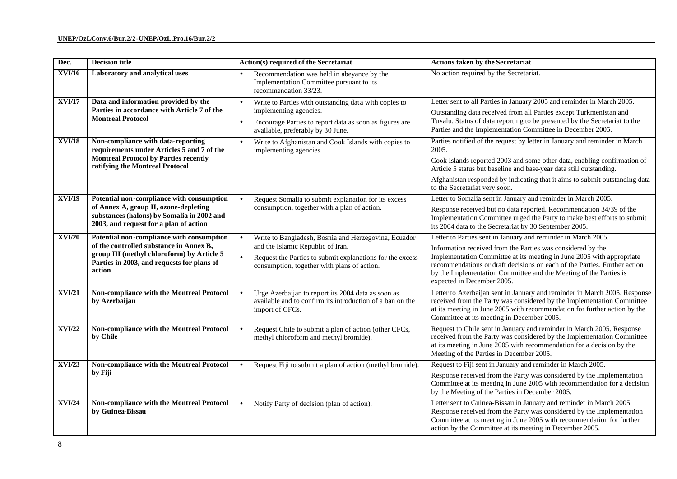| Dec.                           | <b>Decision title</b>                                                                                                                                                                                                                                                                  | Action(s) required of the Secretariat                                                                                                                                                                                                                                                                    | <b>Actions taken by the Secretariat</b>                                                                                                                                                                                                                                                                                                                                                                                                                                                                                                                                                                           |
|--------------------------------|----------------------------------------------------------------------------------------------------------------------------------------------------------------------------------------------------------------------------------------------------------------------------------------|----------------------------------------------------------------------------------------------------------------------------------------------------------------------------------------------------------------------------------------------------------------------------------------------------------|-------------------------------------------------------------------------------------------------------------------------------------------------------------------------------------------------------------------------------------------------------------------------------------------------------------------------------------------------------------------------------------------------------------------------------------------------------------------------------------------------------------------------------------------------------------------------------------------------------------------|
| <b>XVI/16</b>                  | Laboratory and analytical uses                                                                                                                                                                                                                                                         | Recommendation was held in abeyance by the<br>$\bullet$<br>Implementation Committee pursuant to its<br>recommendation 33/23.                                                                                                                                                                             | No action required by the Secretariat.                                                                                                                                                                                                                                                                                                                                                                                                                                                                                                                                                                            |
| <b>XVI/17</b><br><b>XVI/18</b> | Data and information provided by the<br>Parties in accordance with Article 7 of the<br><b>Montreal Protocol</b><br>Non-compliance with data-reporting<br>requirements under Articles 5 and 7 of the<br><b>Montreal Protocol by Parties recently</b><br>ratifying the Montreal Protocol | Write to Parties with outstanding data with copies to<br>$\bullet$<br>implementing agencies.<br>Encourage Parties to report data as soon as figures are<br>$\bullet$<br>available, preferably by 30 June.<br>Write to Afghanistan and Cook Islands with copies to<br>$\bullet$<br>implementing agencies. | Letter sent to all Parties in January 2005 and reminder in March 2005.<br>Outstanding data received from all Parties except Turkmenistan and<br>Tuvalu. Status of data reporting to be presented by the Secretariat to the<br>Parties and the Implementation Committee in December 2005.<br>Parties notified of the request by letter in January and reminder in March<br>2005.<br>Cook Islands reported 2003 and some other data, enabling confirmation of<br>Article 5 status but baseline and base-year data still outstanding.<br>Afghanistan responded by indicating that it aims to submit outstanding data |
| XVI/19                         | Potential non-compliance with consumption<br>of Annex A, group II, ozone-depleting<br>substances (halons) by Somalia in 2002 and<br>2003, and request for a plan of action                                                                                                             | Request Somalia to submit explanation for its excess<br>$\bullet$<br>consumption, together with a plan of action.                                                                                                                                                                                        | to the Secretariat very soon.<br>Letter to Somalia sent in January and reminder in March 2005.<br>Response received but no data reported. Recommendation 34/39 of the<br>Implementation Committee urged the Party to make best efforts to submit<br>its 2004 data to the Secretariat by 30 September 2005.                                                                                                                                                                                                                                                                                                        |
| <b>XVI/20</b>                  | Potential non-compliance with consumption<br>of the controlled substance in Annex B,<br>group III (methyl chloroform) by Article 5<br>Parties in 2003, and requests for plans of<br>action                                                                                             | Write to Bangladesh, Bosnia and Herzegovina, Ecuador<br>$\bullet$<br>and the Islamic Republic of Iran.<br>Request the Parties to submit explanations for the excess<br>$\bullet$<br>consumption, together with plans of action.                                                                          | Letter to Parties sent in January and reminder in March 2005.<br>Information received from the Parties was considered by the<br>Implementation Committee at its meeting in June 2005 with appropriate<br>recommendations or draft decisions on each of the Parties. Further action<br>by the Implementation Committee and the Meeting of the Parties is<br>expected in December 2005.                                                                                                                                                                                                                             |
| <b>XVI/21</b>                  | Non-compliance with the Montreal Protocol<br>by Azerbaijan                                                                                                                                                                                                                             | Urge Azerbaijan to report its 2004 data as soon as<br>available and to confirm its introduction of a ban on the<br>import of CFCs.                                                                                                                                                                       | Letter to Azerbaijan sent in January and reminder in March 2005. Response<br>received from the Party was considered by the Implementation Committee<br>at its meeting in June 2005 with recommendation for further action by the<br>Committee at its meeting in December 2005.                                                                                                                                                                                                                                                                                                                                    |
| <b>XVI/22</b>                  | Non-compliance with the Montreal Protocol<br>by Chile                                                                                                                                                                                                                                  | Request Chile to submit a plan of action (other CFCs,<br>$\bullet$<br>methyl chloroform and methyl bromide).                                                                                                                                                                                             | Request to Chile sent in January and reminder in March 2005. Response<br>received from the Party was considered by the Implementation Committee<br>at its meeting in June 2005 with recommendation for a decision by the<br>Meeting of the Parties in December 2005.                                                                                                                                                                                                                                                                                                                                              |
| <b>XVI/23</b>                  | Non-compliance with the Montreal Protocol<br>by Fiji                                                                                                                                                                                                                                   | Request Fiji to submit a plan of action (methyl bromide).<br>$\bullet$                                                                                                                                                                                                                                   | Request to Fiji sent in January and reminder in March 2005.<br>Response received from the Party was considered by the Implementation<br>Committee at its meeting in June 2005 with recommendation for a decision<br>by the Meeting of the Parties in December 2005.                                                                                                                                                                                                                                                                                                                                               |
| <b>XVI/24</b>                  | Non-compliance with the Montreal Protocol<br>by Guinea-Bissau                                                                                                                                                                                                                          | Notify Party of decision (plan of action).<br>$\bullet$                                                                                                                                                                                                                                                  | Letter sent to Guinea-Bissau in January and reminder in March 2005.<br>Response received from the Party was considered by the Implementation<br>Committee at its meeting in June 2005 with recommendation for further<br>action by the Committee at its meeting in December 2005.                                                                                                                                                                                                                                                                                                                                 |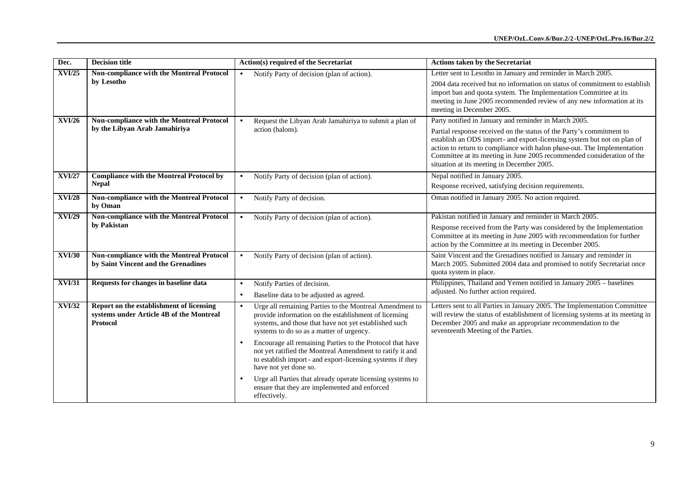| Dec.          | <b>Decision title</b>                                                                            | Action(s) required of the Secretariat                                                                                                                                                                                 | <b>Actions taken by the Secretariat</b>                                                                                                                                                                                                                                                                                                            |
|---------------|--------------------------------------------------------------------------------------------------|-----------------------------------------------------------------------------------------------------------------------------------------------------------------------------------------------------------------------|----------------------------------------------------------------------------------------------------------------------------------------------------------------------------------------------------------------------------------------------------------------------------------------------------------------------------------------------------|
| <b>XVI/25</b> | Non-compliance with the Montreal Protocol                                                        | Notify Party of decision (plan of action).<br>$\bullet$                                                                                                                                                               | Letter sent to Lesotho in January and reminder in March 2005.                                                                                                                                                                                                                                                                                      |
|               | by Lesotho                                                                                       |                                                                                                                                                                                                                       | 2004 data received but no information on status of commitment to establish<br>import ban and quota system. The Implementation Committee at its<br>meeting in June 2005 recommended review of any new information at its<br>meeting in December 2005.                                                                                               |
| <b>XVI/26</b> | Non-compliance with the Montreal Protocol                                                        | Request the Libyan Arab Jamahiriya to submit a plan of                                                                                                                                                                | Party notified in January and reminder in March 2005.                                                                                                                                                                                                                                                                                              |
|               | by the Libyan Arab Jamahiriya                                                                    | action (halons).                                                                                                                                                                                                      | Partial response received on the status of the Party's commitment to<br>establish an ODS import- and export-licensing system but not on plan of<br>action to return to compliance with halon phase-out. The Implementation<br>Committee at its meeting in June 2005 recommended consideration of the<br>situation at its meeting in December 2005. |
| <b>XVI/27</b> | <b>Compliance with the Montreal Protocol by</b>                                                  | Notify Party of decision (plan of action).<br>$\bullet$                                                                                                                                                               | Nepal notified in January 2005.                                                                                                                                                                                                                                                                                                                    |
|               | <b>Nepal</b>                                                                                     |                                                                                                                                                                                                                       | Response received, satisfying decision requirements.                                                                                                                                                                                                                                                                                               |
| <b>XVI/28</b> | Non-compliance with the Montreal Protocol<br>by Oman                                             | Notify Party of decision.<br>$\bullet$                                                                                                                                                                                | Oman notified in January 2005. No action required.                                                                                                                                                                                                                                                                                                 |
| <b>XVI/29</b> | Non-compliance with the Montreal Protocol                                                        | Notify Party of decision (plan of action).<br>$\bullet$                                                                                                                                                               | Pakistan notified in January and reminder in March 2005.                                                                                                                                                                                                                                                                                           |
|               | by Pakistan                                                                                      |                                                                                                                                                                                                                       | Response received from the Party was considered by the Implementation<br>Committee at its meeting in June 2005 with recommendation for further<br>action by the Committee at its meeting in December 2005.                                                                                                                                         |
| <b>XVI/30</b> | Non-compliance with the Montreal Protocol                                                        | Notify Party of decision (plan of action).<br>$\bullet$                                                                                                                                                               | Saint Vincent and the Grenadines notified in January and reminder in                                                                                                                                                                                                                                                                               |
|               | by Saint Vincent and the Grenadines                                                              |                                                                                                                                                                                                                       | March 2005. Submitted 2004 data and promised to notify Secretariat once<br>quota system in place.                                                                                                                                                                                                                                                  |
| <b>XVI/31</b> | Requests for changes in baseline data                                                            | Notify Parties of decision.<br>$\bullet$                                                                                                                                                                              | Philippines, Thailand and Yemen notified in January 2005 - baselines                                                                                                                                                                                                                                                                               |
|               |                                                                                                  | Baseline data to be adjusted as agreed.<br>$\bullet$                                                                                                                                                                  | adjusted. No further action required.                                                                                                                                                                                                                                                                                                              |
| <b>XVI/32</b> | Report on the establishment of licensing<br>systems under Article 4B of the Montreal<br>Protocol | Urge all remaining Parties to the Montreal Amendment to<br>provide information on the establishment of licensing<br>systems, and those that have not yet established such<br>systems to do so as a matter of urgency. | Letters sent to all Parties in January 2005. The Implementation Committee<br>will review the status of establishment of licensing systems at its meeting in<br>December 2005 and make an appropriate recommendation to the<br>seventeenth Meeting of the Parties.                                                                                  |
|               |                                                                                                  | Encourage all remaining Parties to the Protocol that have<br>not yet ratified the Montreal Amendment to ratify it and<br>to establish import - and export-licensing systems if they<br>have not yet done so.          |                                                                                                                                                                                                                                                                                                                                                    |
|               |                                                                                                  | Urge all Parties that already operate licensing systems to<br>ensure that they are implemented and enforced<br>effectively.                                                                                           |                                                                                                                                                                                                                                                                                                                                                    |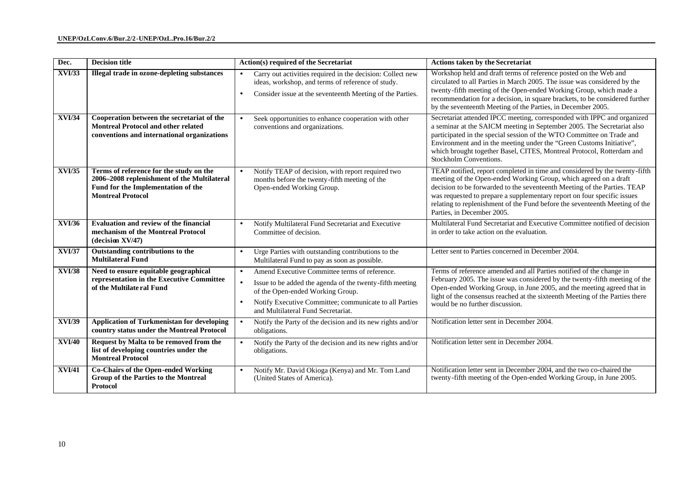| Dec.          | <b>Decision title</b>                                                                                                                                    | Action(s) required of the Secretariat                                                                                                                                                                                                                                   | <b>Actions taken by the Secretariat</b>                                                                                                                                                                                                                                                                                                                                                                            |
|---------------|----------------------------------------------------------------------------------------------------------------------------------------------------------|-------------------------------------------------------------------------------------------------------------------------------------------------------------------------------------------------------------------------------------------------------------------------|--------------------------------------------------------------------------------------------------------------------------------------------------------------------------------------------------------------------------------------------------------------------------------------------------------------------------------------------------------------------------------------------------------------------|
| <b>XVI/33</b> | Illegal trade in ozone-depleting substances                                                                                                              | Carry out activities required in the decision: Collect new<br>ideas, workshop, and terms of reference of study.<br>Consider issue at the seventeenth Meeting of the Parties.<br>$\bullet$                                                                               | Workshop held and draft terms of reference posted on the Web and<br>circulated to all Parties in March 2005. The issue was considered by the<br>twenty-fifth meeting of the Open-ended Working Group, which made a<br>recommendation for a decision, in square brackets, to be considered further<br>by the seventeenth Meeting of the Parties, in December 2005.                                                  |
| XVI/34        | Cooperation between the secretariat of the<br><b>Montreal Protocol and other related</b><br>conventions and international organizations                  | Seek opportunities to enhance cooperation with other<br>conventions and organizations.                                                                                                                                                                                  | Secretariat attended IPCC meeting, corresponded with IPPC and organized<br>a seminar at the SAICM meeting in September 2005. The Secretariat also<br>participated in the special session of the WTO Committee on Trade and<br>Environment and in the meeting under the "Green Customs Initiative",<br>which brought together Basel, CITES, Montreal Protocol, Rotterdam and<br>Stockholm Conventions.              |
| <b>XVI/35</b> | Terms of reference for the study on the<br>2006-2008 replenishment of the Multilateral<br>Fund for the Implementation of the<br><b>Montreal Protocol</b> | Notify TEAP of decision, with report required two<br>$\bullet$<br>months before the twenty-fifth meeting of the<br>Open-ended Working Group.                                                                                                                            | TEAP notified, report completed in time and considered by the twenty-fifth<br>meeting of the Open-ended Working Group, which agreed on a draft<br>decision to be forwarded to the seventeenth Meeting of the Parties. TEAP<br>was requested to prepare a supplementary report on four specific issues<br>relating to replenishment of the Fund before the seventeenth Meeting of the<br>Parties, in December 2005. |
| <b>XVI/36</b> | <b>Evaluation and review of the financial</b><br>mechanism of the Montreal Protocol<br>(decision XV/47)                                                  | Notify Multilateral Fund Secretariat and Executive<br>$\bullet$<br>Committee of decision.                                                                                                                                                                               | Multilateral Fund Secretariat and Executive Committee notified of decision<br>in order to take action on the evaluation.                                                                                                                                                                                                                                                                                           |
| <b>XVI/37</b> | Outstanding contributions to the<br><b>Multilateral Fund</b>                                                                                             | Urge Parties with outstanding contributions to the<br>Multilateral Fund to pay as soon as possible.                                                                                                                                                                     | Letter sent to Parties concerned in December 2004.                                                                                                                                                                                                                                                                                                                                                                 |
| <b>XVI/38</b> | Need to ensure equitable geographical<br>representation in the Executive Committee<br>of the Multilate ral Fund                                          | Amend Executive Committee terms of reference.<br>$\bullet$<br>Issue to be added the agenda of the twenty-fifth meeting<br>$\bullet$<br>of the Open-ended Working Group.<br>Notify Executive Committee; communicate to all Parties<br>and Multilateral Fund Secretariat. | Terms of reference amended and all Parties notified of the change in<br>February 2005. The issue was considered by the twenty-fifth meeting of the<br>Open-ended Working Group, in June 2005, and the meeting agreed that in<br>light of the consensus reached at the sixteenth Meeting of the Parties there<br>would be no further discussion.                                                                    |
| <b>XVI/39</b> | <b>Application of Turkmenistan for developing</b><br>country status under the Montreal Protocol                                                          | Notify the Party of the decision and its new rights and/or<br>$\bullet$<br>obligations.                                                                                                                                                                                 | Notification letter sent in December 2004.                                                                                                                                                                                                                                                                                                                                                                         |
| <b>XVI/40</b> | Request by Malta to be removed from the<br>list of developing countries under the<br><b>Montreal Protocol</b>                                            | Notify the Party of the decision and its new rights and/or<br>obligations.                                                                                                                                                                                              | Notification letter sent in December 2004.                                                                                                                                                                                                                                                                                                                                                                         |
| <b>XVI/41</b> | Co-Chairs of the Open-ended Working<br>Group of the Parties to the Montreal<br>Protocol                                                                  | Notify Mr. David Okioga (Kenya) and Mr. Tom Land<br>(United States of America).                                                                                                                                                                                         | Notification letter sent in December 2004, and the two co-chaired the<br>twenty-fifth meeting of the Open-ended Working Group, in June 2005.                                                                                                                                                                                                                                                                       |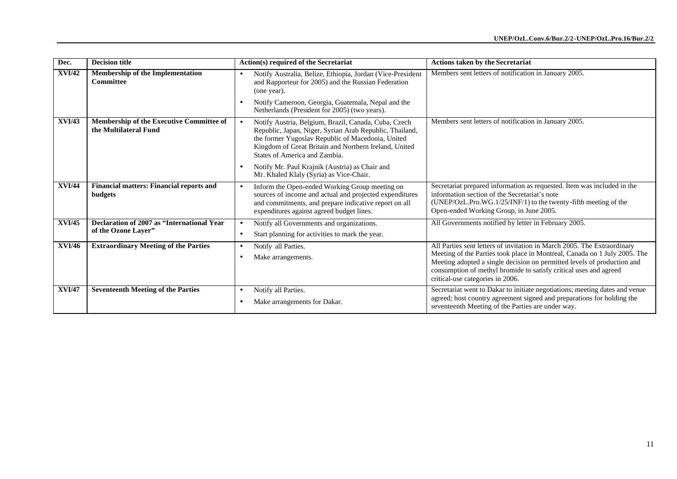| Dec.          | <b>Decision title</b>                                              | <b>Action(s) required of the Secretariat</b>                                                                                                                                                                                                                                | <b>Actions taken by the Secretariat</b>                                                                                                                                                                                                                                                                                                  |
|---------------|--------------------------------------------------------------------|-----------------------------------------------------------------------------------------------------------------------------------------------------------------------------------------------------------------------------------------------------------------------------|------------------------------------------------------------------------------------------------------------------------------------------------------------------------------------------------------------------------------------------------------------------------------------------------------------------------------------------|
| <b>XVI/42</b> | <b>Membership of the Implementation</b><br><b>Committee</b>        | Notify Australia, Belize, Ethiopia, Jordan (Vice-President<br>$\bullet$<br>and Rapporteur for 2005) and the Russian Federation<br>(one year).                                                                                                                               | Members sent letters of notification in January 2005.                                                                                                                                                                                                                                                                                    |
|               |                                                                    | Notify Cameroon, Georgia, Guatemala, Nepal and the<br>Netherlands (President for 2005) (two years).                                                                                                                                                                         |                                                                                                                                                                                                                                                                                                                                          |
| XVI/43        | Membership of the Executive Committee of<br>the Multilateral Fund  | Notify Austria, Belgium, Brazil, Canada, Cuba, Czech<br>$\bullet$<br>Republic, Japan, Niger, Syrian Arab Republic, Thailand,<br>the former Yugoslav Republic of Macedonia, United<br>Kingdom of Great Britain and Northern Ireland, United<br>States of America and Zambia. | Members sent letters of notification in January 2005.                                                                                                                                                                                                                                                                                    |
|               |                                                                    | Notify Mr. Paul Krajnik (Austria) as Chair and<br>$\bullet$<br>Mr. Khaled Klaly (Syria) as Vice-Chair.                                                                                                                                                                      |                                                                                                                                                                                                                                                                                                                                          |
| <b>XVI/44</b> | <b>Financial matters: Financial reports and</b><br>budgets         | Inform the Open-ended Working Group meeting on<br>$\bullet$<br>sources of income and actual and projected expenditures<br>and commitments, and prepare indicative report on all<br>expenditures against agreed budget lines.                                                | Secretariat prepared information as requested. Item was included in the<br>information section of the Secretariat's note<br>(UNEP/OzL.Pro.WG.1/25/INF/1) to the twenty-fifth meeting of the<br>Open-ended Working Group, in June 2005.                                                                                                   |
| <b>XVI/45</b> | Declaration of 2007 as "International Year"<br>of the Ozone Laver" | Notify all Governments and organizations.<br>$\bullet$<br>Start planning for activities to mark the year.<br>$\bullet$                                                                                                                                                      | All Governments notified by letter in February 2005.                                                                                                                                                                                                                                                                                     |
| <b>XVI/46</b> | <b>Extraordinary Meeting of the Parties</b>                        | Notify all Parties.<br>$\bullet$<br>Make arrangements.<br>$\bullet$                                                                                                                                                                                                         | All Parties sent letters of invitation in March 2005. The Extraordinary<br>Meeting of the Parties took place in Montreal, Canada on 1 July 2005. The<br>Meeting adopted a single decision on permitted levels of production and<br>consumption of methyl bromide to satisfy critical uses and agreed<br>critical-use categories in 2006. |
| <b>XVI/47</b> | <b>Seventeenth Meeting of the Parties</b>                          | Notify all Parties.<br>$\bullet$<br>Make arrangements for Dakar.<br>$\bullet$                                                                                                                                                                                               | Secretariat went to Dakar to initiate negotiations; meeting dates and venue<br>agreed; host country agreement signed and preparations for holding the<br>seventeenth Meeting of the Parties are under way.                                                                                                                               |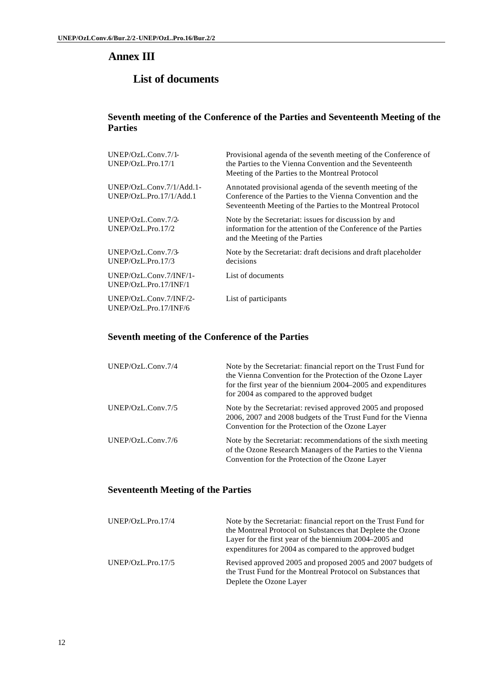# **Annex III**

# **List of documents**

#### **Seventh meeting of the Conference of the Parties and Seventeenth Meeting of the Parties**

| $UNEP/OzL$ .Conv.7/1-<br>UNEP/OzL.Pro.17/1          | Provisional agenda of the seventh meeting of the Conference of<br>the Parties to the Vienna Convention and the Seventeenth<br>Meeting of the Parties to the Montreal Protocol           |
|-----------------------------------------------------|-----------------------------------------------------------------------------------------------------------------------------------------------------------------------------------------|
| UNEP/OzL.Conv.7/1/Add.1-<br>UNEP/OzL.Pro.17/1/Add.1 | Annotated provisional agenda of the seventh meeting of the<br>Conference of the Parties to the Vienna Convention and the<br>Seventeenth Meeting of the Parties to the Montreal Protocol |
| UNEP/OzL.Conv.7/2-<br>UNEP/OzL.Pro.17/2             | Note by the Secretariat: issues for discussion by and<br>information for the attention of the Conference of the Parties<br>and the Meeting of the Parties                               |
| UNEP/OzL.Conv.7/3-<br>UNEP/OzL.Pro.17/3             | Note by the Secretariat: draft decisions and draft placeholder<br>decisions                                                                                                             |
| UNEP/OzL.Conv.7/INF/1-<br>UNEP/OzL.Pro.17/INF/1     | List of documents                                                                                                                                                                       |
| $UNEP/OzL$ .Conv.7/INF/2-<br>UNEP/OzL.Pro.17/INF/6  | List of participants                                                                                                                                                                    |

### **Seventh meeting of the Conference of the Parties**

| UNEP/OzL.Conv.7/4    | Note by the Secretariat: financial report on the Trust Fund for<br>the Vienna Convention for the Protection of the Ozone Layer<br>for the first year of the biennium 2004–2005 and expenditures<br>for 2004 as compared to the approved budget |
|----------------------|------------------------------------------------------------------------------------------------------------------------------------------------------------------------------------------------------------------------------------------------|
| $UNEP/OzL$ .Conv.7/5 | Note by the Secretariat: revised approved 2005 and proposed<br>2006, 2007 and 2008 budgets of the Trust Fund for the Vienna<br>Convention for the Protection of the Ozone Layer                                                                |
| UNEP/OzL.Conv.7/6    | Note by the Secretariat: recommendations of the sixth meeting<br>of the Ozone Research Managers of the Parties to the Vienna<br>Convention for the Protection of the Ozone Layer                                                               |

## **Seventeenth Meeting of the Parties**

| UNEP/OzL.Pro.17/4 | Note by the Secretariat: financial report on the Trust Fund for<br>the Montreal Protocol on Substances that Deplete the Ozone<br>Layer for the first year of the biennium 2004–2005 and<br>expenditures for 2004 as compared to the approved budget |
|-------------------|-----------------------------------------------------------------------------------------------------------------------------------------------------------------------------------------------------------------------------------------------------|
| UNEP/OzL.Pro.17/5 | Revised approved 2005 and proposed 2005 and 2007 budgets of<br>the Trust Fund for the Montreal Protocol on Substances that<br>Deplete the Ozone Layer                                                                                               |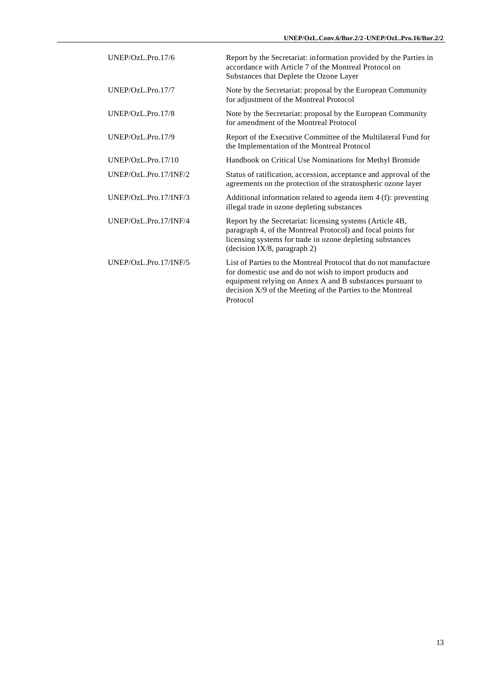| UNEP/OzL.Pro.17/6     | Report by the Secretariat: information provided by the Parties in<br>accordance with Article 7 of the Montreal Protocol on<br>Substances that Deplete the Ozone Layer                                                                                              |
|-----------------------|--------------------------------------------------------------------------------------------------------------------------------------------------------------------------------------------------------------------------------------------------------------------|
| UNEP/OzL.Pro.17/7     | Note by the Secretariat: proposal by the European Community<br>for adjustment of the Montreal Protocol                                                                                                                                                             |
| UNEP/OzL.Pro.17/8     | Note by the Secretariat: proposal by the European Community<br>for amendment of the Montreal Protocol                                                                                                                                                              |
| UNEP/OzL.Pro.17/9     | Report of the Executive Committee of the Multilateral Fund for<br>the Implementation of the Montreal Protocol                                                                                                                                                      |
| UNEP/OzL.Pro.17/10    | Handbook on Critical Use Nominations for Methyl Bromide                                                                                                                                                                                                            |
| UNEP/OzL.Pro.17/INF/2 | Status of ratification, accession, acceptance and approval of the<br>agreements on the protection of the stratospheric ozone layer                                                                                                                                 |
| UNEP/OzL.Pro.17/INF/3 | Additional information related to agenda item 4 (f): preventing<br>illegal trade in ozone depleting substances                                                                                                                                                     |
| UNEP/OzL.Pro.17/INF/4 | Report by the Secretariat: licensing systems (Article 4B,<br>paragraph 4, of the Montreal Protocol) and focal points for<br>licensing systems for trade in ozone depleting substances<br>(decision IX/8, paragraph 2)                                              |
| UNEP/OzL.Pro.17/INF/5 | List of Parties to the Montreal Protocol that do not manufacture<br>for domestic use and do not wish to import products and<br>equipment relying on Annex A and B substances pursuant to<br>decision X/9 of the Meeting of the Parties to the Montreal<br>Protocol |